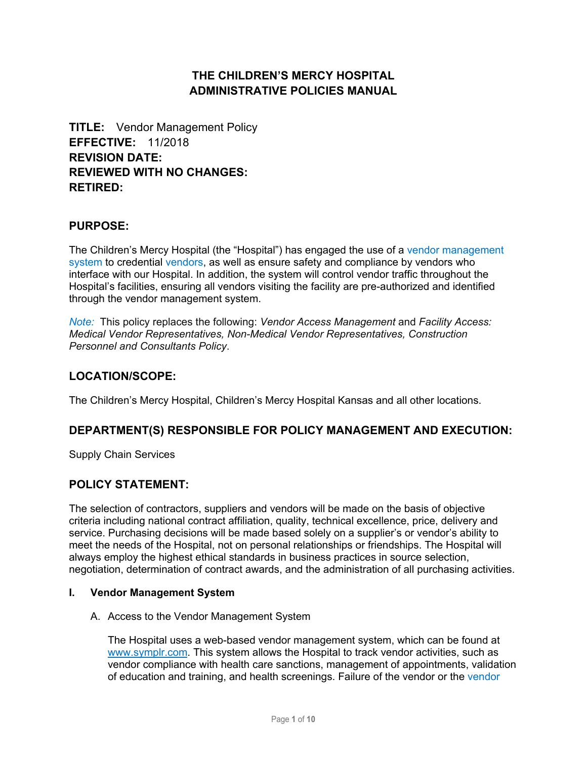# **THE CHILDREN'S MERCY HOSPITAL ADMINISTRATIVE POLICIES MANUAL**

**TITLE:** Vendor Management Policy **EFFECTIVE:** 11/2018 **REVISION DATE: REVIEWED WITH NO CHANGES: RETIRED:**

### **PURPOSE:**

The Children's Mercy Hospital (the "Hospital") has engaged the use of a [vendor management](#page-7-0)  [system](#page-7-0) to credential [vendors](#page-7-1), as well as ensure safety and compliance by vendors who interface with our Hospital. In addition, the system will control vendor traffic throughout the Hospital's facilities, ensuring all vendors visiting the facility are pre-authorized and identified through the vendor management system.

*Note:* This policy replaces the following: *Vendor Access Management* and *Facility Access: Medical Vendor Representatives, Non-Medical Vendor Representatives, Construction Personnel and Consultants Policy*.

### **LOCATION/SCOPE:**

The Children's Mercy Hospital, Children's Mercy Hospital Kansas and all other locations.

### **DEPARTMENT(S) RESPONSIBLE FOR POLICY MANAGEMENT AND EXECUTION:**

Supply Chain Services

### **POLICY STATEMENT:**

The selection of contractors, suppliers and vendors will be made on the basis of objective criteria including national contract affiliation, quality, technical excellence, price, delivery and service. Purchasing decisions will be made based solely on a supplier's or vendor's ability to meet the needs of the Hospital, not on personal relationships or friendships. The Hospital will always employ the highest ethical standards in business practices in source selection, negotiation, determination of contract awards, and the administration of all purchasing activities.

#### **I. Vendor Management System**

#### A. Access to the Vendor Management System

The Hospital uses a web-based vendor management system, which can be found at [www.symplr.com.](www.symplr.com) This system allows the Hospital to track vendor activities, such as vendor compliance with health care sanctions, management of appointments, validation of education and training, and health screenings. Failure of the vendor or the [vendor](#page-7-2)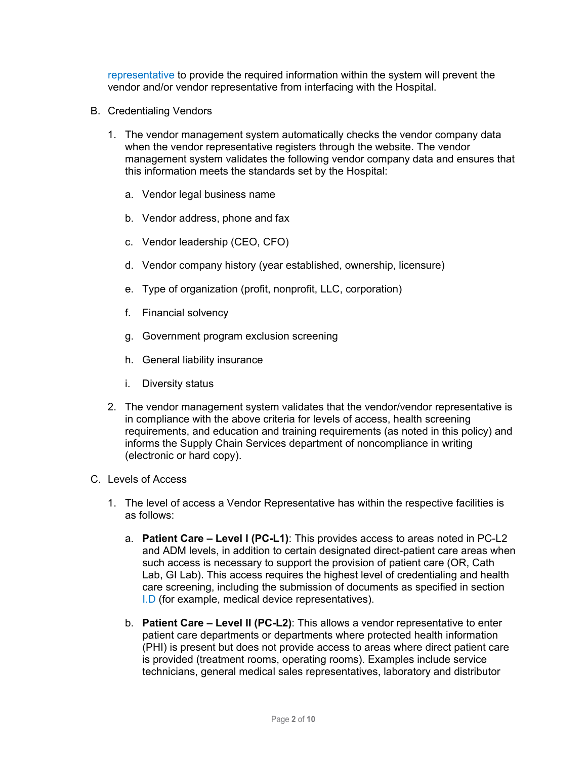[representative](#page-7-2) to provide the required information within the system will prevent the vendor and/or vendor representative from interfacing with the Hospital.

- B. Credentialing Vendors
	- 1. The vendor management system automatically checks the vendor company data when the vendor representative registers through the website. The vendor management system validates the following vendor company data and ensures that this information meets the standards set by the Hospital:
		- a. Vendor legal business name
		- b. Vendor address, phone and fax
		- c. Vendor leadership (CEO, CFO)
		- d. Vendor company history (year established, ownership, licensure)
		- e. Type of organization (profit, nonprofit, LLC, corporation)
		- f. Financial solvency
		- g. Government program exclusion screening
		- h. General liability insurance
		- i. Diversity status
	- 2. The vendor management system validates that the vendor/vendor representative is in compliance with the above criteria for levels of access, health screening requirements, and education and training requirements (as noted in this policy) and informs the Supply Chain Services department of noncompliance in writing (electronic or hard copy).
- C. Levels of Access
	- 1. The level of access a Vendor Representative has within the respective facilities is as follows:
		- a. **Patient Care Level I (PC-L1)**: This provides access to areas noted in PC-L2 and ADM levels, in addition to certain designated direct-patient care areas when such access is necessary to support the provision of patient care (OR, Cath Lab, GI Lab). This access requires the highest level of credentialing and health care screening, including the submission of documents as specified in section [I.D](#page-2-0) (for example, medical device representatives).
		- b. **Patient Care Level II (PC-L2)**: This allows a vendor representative to enter patient care departments or departments where protected health information (PHI) is present but does not provide access to areas where direct patient care is provided (treatment rooms, operating rooms). Examples include service technicians, general medical sales representatives, laboratory and distributor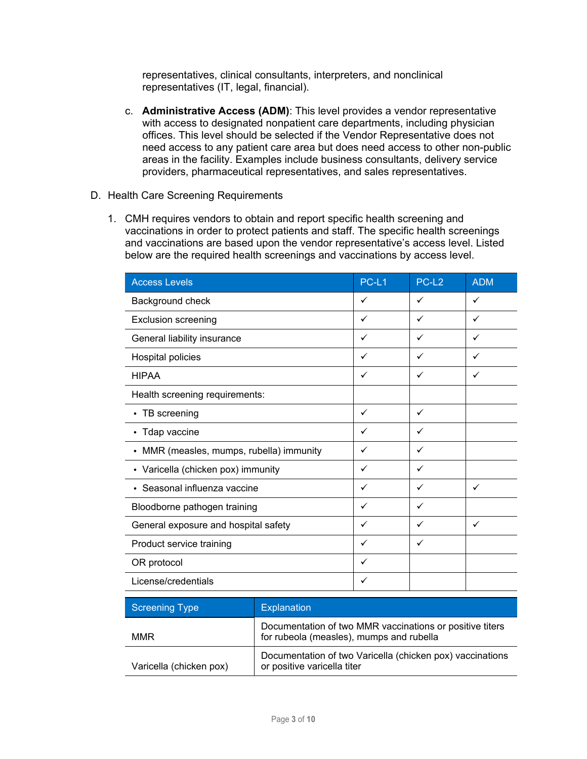representatives, clinical consultants, interpreters, and nonclinical representatives (IT, legal, financial).

- <span id="page-2-0"></span>c. **Administrative Access (ADM)**: This level provides a vendor representative with access to designated nonpatient care departments, including physician offices. This level should be selected if the Vendor Representative does not need access to any patient care area but does need access to other non-public areas in the facility. Examples include business consultants, delivery service providers, pharmaceutical representatives, and sales representatives.
- D. Health Care Screening Requirements
	- 1. CMH requires vendors to obtain and report specific health screening and vaccinations in order to protect patients and staff. The specific health screenings and vaccinations are based upon the vendor representative's access level. Listed below are the required health screenings and vaccinations by access level.

| <b>Access Levels</b>                     | PC-L1        | PC-L <sub>2</sub> | <b>ADM</b>   |
|------------------------------------------|--------------|-------------------|--------------|
| Background check                         | ✓            | ✓                 | ✓            |
| <b>Exclusion screening</b>               | $\checkmark$ | ✓                 | ✓            |
| General liability insurance              | ✓            | ✓                 | ✓            |
| Hospital policies                        | ✓            | ✓                 | ✓            |
| <b>HIPAA</b>                             | ✓            | ✓                 | ✓            |
| Health screening requirements:           |              |                   |              |
| • TB screening                           | ✓            | ✓                 |              |
| • Tdap vaccine                           | ✓            | ✓                 |              |
| • MMR (measles, mumps, rubella) immunity | ✓            | ✓                 |              |
| • Varicella (chicken pox) immunity       | ✓            | ✓                 |              |
| • Seasonal influenza vaccine             | $\checkmark$ | ✓                 | $\checkmark$ |
| Bloodborne pathogen training             | ✓            | ✓                 |              |
| General exposure and hospital safety     | ✓            | $\checkmark$      | ✓            |
| Product service training                 | ✓            | ✓                 |              |
| OR protocol                              | ✓            |                   |              |
| License/credentials                      | ✓            |                   |              |

| <b>Screening Type</b>   | <b>Explanation</b>                                                                                   |
|-------------------------|------------------------------------------------------------------------------------------------------|
| <b>MMR</b>              | Documentation of two MMR vaccinations or positive titers<br>for rubeola (measles), mumps and rubella |
| Varicella (chicken pox) | Documentation of two Varicella (chicken pox) vaccinations<br>or positive varicella titer             |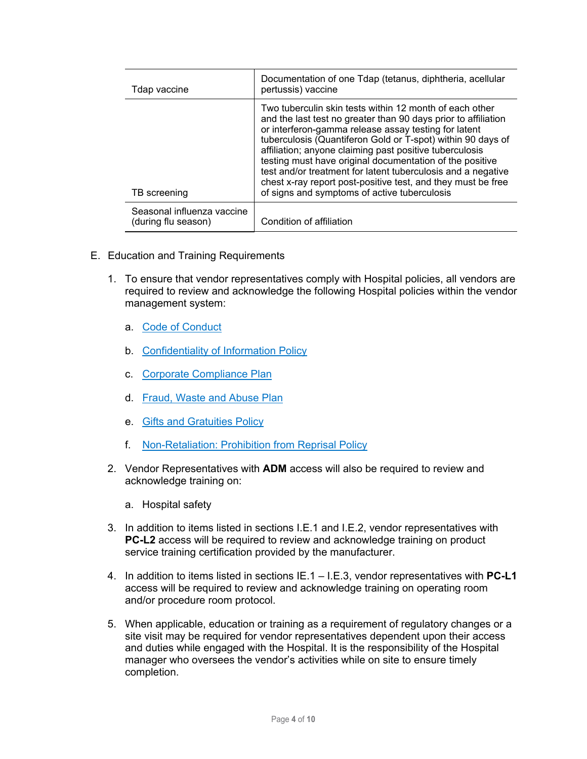| Tdap vaccine                                      | Documentation of one Tdap (tetanus, diphtheria, acellular<br>pertussis) vaccine                                                                                                                                                                                                                                                                                                                                                                                                                                                                         |
|---------------------------------------------------|---------------------------------------------------------------------------------------------------------------------------------------------------------------------------------------------------------------------------------------------------------------------------------------------------------------------------------------------------------------------------------------------------------------------------------------------------------------------------------------------------------------------------------------------------------|
| TB screening                                      | Two tuberculin skin tests within 12 month of each other<br>and the last test no greater than 90 days prior to affiliation<br>or interferon-gamma release assay testing for latent<br>tuberculosis (Quantiferon Gold or T-spot) within 90 days of<br>affiliation; anyone claiming past positive tuberculosis<br>testing must have original documentation of the positive<br>test and/or treatment for latent tuberculosis and a negative<br>chest x-ray report post-positive test, and they must be free<br>of signs and symptoms of active tuberculosis |
| Seasonal influenza vaccine<br>(during flu season) | Condition of affiliation                                                                                                                                                                                                                                                                                                                                                                                                                                                                                                                                |

- E. Education and Training Requirements
	- 1. To ensure that vendor representatives comply with Hospital policies, all vendors are required to review and acknowledge the following Hospital policies within the vendor management system:
		- a. [Code of Conduct](https://childrensmercy.ellucid.com/documents/view/104)
		- b. [Confidentiality of Information Policy](https://childrensmercy.ellucid.com/documents/view/150)
		- c. [Corporate Compliance Plan](https://childrensmercy.ellucid.com/documents/view/105)
		- d. [Fraud, Waste and Abuse Plan](https://childrensmercy.ellucid.com/documents/view/110/)
		- e. [Gifts and Gratuities Policy](https://childrensmercy.ellucid.com/documents/view/111)
		- f. [Non-Retaliation: Prohibition from Reprisal Policy](https://childrensmercy.ellucid.com/documents/view/77)
	- 2. Vendor Representatives with **ADM** access will also be required to review and acknowledge training on:
		- a. Hospital safety
	- 3. In addition to items listed in sections I.E.1 and I.E.2, vendor representatives with **PC-L2** access will be required to review and acknowledge training on product service training certification provided by the manufacturer.
	- 4. In addition to items listed in sections IE.1 I.E.3, vendor representatives with **PC-L1** access will be required to review and acknowledge training on operating room and/or procedure room protocol.
	- 5. When applicable, education or training as a requirement of regulatory changes or a site visit may be required for vendor representatives dependent upon their access and duties while engaged with the Hospital. It is the responsibility of the Hospital manager who oversees the vendor's activities while on site to ensure timely completion.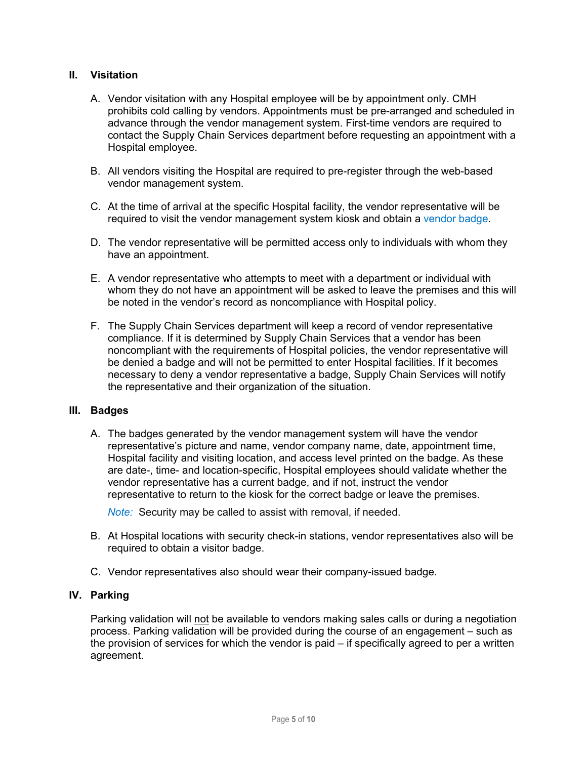### **II. Visitation**

- A. Vendor visitation with any Hospital employee will be by appointment only. CMH prohibits cold calling by vendors. Appointments must be pre-arranged and scheduled in advance through the vendor management system. First-time vendors are required to contact the Supply Chain Services department before requesting an appointment with a Hospital employee.
- B. All vendors visiting the Hospital are required to pre-register through the web-based vendor management system.
- C. At the time of arrival at the specific Hospital facility, the vendor representative will be required to visit the vendor management system kiosk and obtain a [vendor badge](#page-7-3).
- D. The vendor representative will be permitted access only to individuals with whom they have an appointment.
- E. A vendor representative who attempts to meet with a department or individual with whom they do not have an appointment will be asked to leave the premises and this will be noted in the vendor's record as noncompliance with Hospital policy.
- F. The Supply Chain Services department will keep a record of vendor representative compliance. If it is determined by Supply Chain Services that a vendor has been noncompliant with the requirements of Hospital policies, the vendor representative will be denied a badge and will not be permitted to enter Hospital facilities. If it becomes necessary to deny a vendor representative a badge, Supply Chain Services will notify the representative and their organization of the situation.

#### **III. Badges**

<span id="page-4-0"></span>A. The badges generated by the vendor management system will have the vendor representative's picture and name, vendor company name, date, appointment time, Hospital facility and visiting location, and access level printed on the badge. As these are date-, time- and location-specific, Hospital employees should validate whether the vendor representative has a current badge, and if not, instruct the vendor representative to return to the kiosk for the correct badge or leave the premises.

*Note:* Security may be called to assist with removal, if needed.

- B. At Hospital locations with security check-in stations, vendor representatives also will be required to obtain a visitor badge.
- C. Vendor representatives also should wear their company-issued badge.

### **IV. Parking**

Parking validation will not be available to vendors making sales calls or during a negotiation process. Parking validation will be provided during the course of an engagement – such as the provision of services for which the vendor is paid – if specifically agreed to per a written agreement.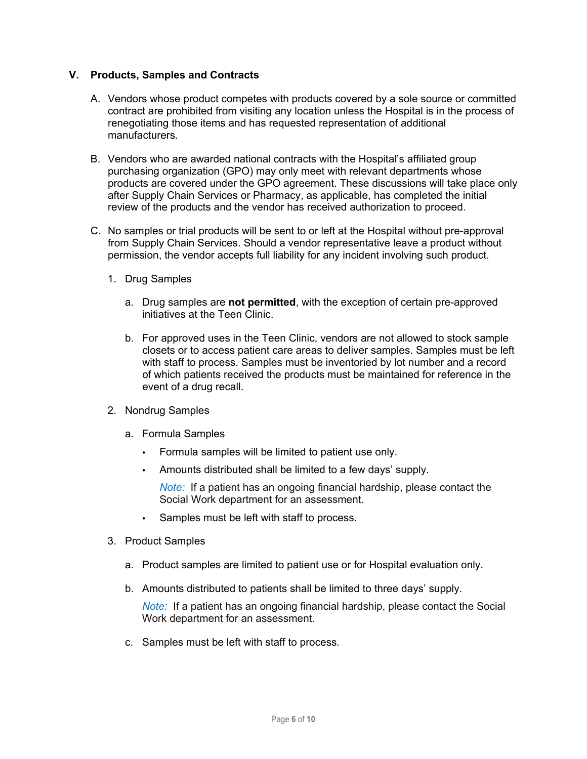### **V. Products, Samples and Contracts**

- A. Vendors whose product competes with products covered by a sole source or committed contract are prohibited from visiting any location unless the Hospital is in the process of renegotiating those items and has requested representation of additional manufacturers.
- B. Vendors who are awarded national contracts with the Hospital's affiliated group purchasing organization (GPO) may only meet with relevant departments whose products are covered under the GPO agreement. These discussions will take place only after Supply Chain Services or Pharmacy, as applicable, has completed the initial review of the products and the vendor has received authorization to proceed.
- C. No samples or trial products will be sent to or left at the Hospital without pre-approval from Supply Chain Services. Should a vendor representative leave a product without permission, the vendor accepts full liability for any incident involving such product.
	- 1. Drug Samples
		- a. Drug samples are **not permitted**, with the exception of certain pre-approved initiatives at the Teen Clinic.
		- b. For approved uses in the Teen Clinic, vendors are not allowed to stock sample closets or to access patient care areas to deliver samples. Samples must be left with staff to process. Samples must be inventoried by lot number and a record of which patients received the products must be maintained for reference in the event of a drug recall.
	- 2. Nondrug Samples
		- a. Formula Samples
			- Formula samples will be limited to patient use only.
			- Amounts distributed shall be limited to a few days' supply.

*Note:* If a patient has an ongoing financial hardship, please contact the Social Work department for an assessment.

- Samples must be left with staff to process.
- 3. Product Samples
	- a. Product samples are limited to patient use or for Hospital evaluation only.
	- b. Amounts distributed to patients shall be limited to three days' supply.

*Note:* If a patient has an ongoing financial hardship, please contact the Social Work department for an assessment.

c. Samples must be left with staff to process.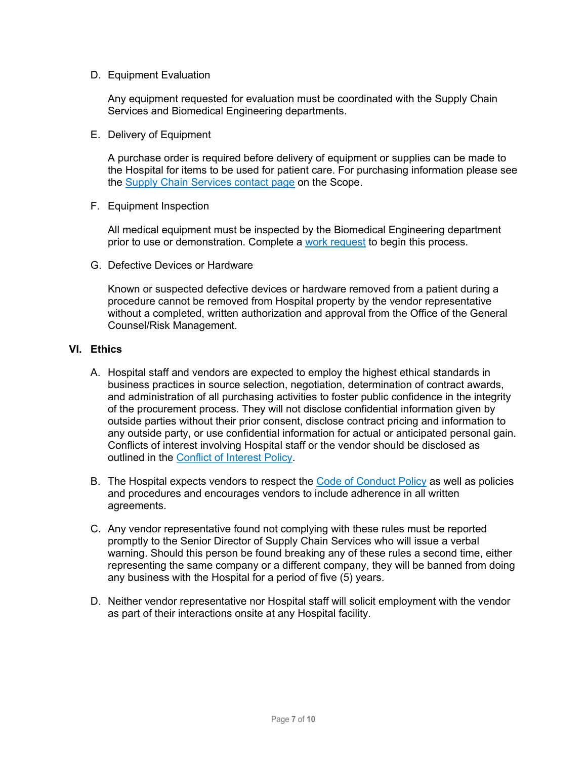D. Equipment Evaluation

Any equipment requested for evaluation must be coordinated with the Supply Chain Services and Biomedical Engineering departments.

E. Delivery of Equipment

A purchase order is required before delivery of equipment or supplies can be made to the Hospital for items to be used for patient care. For purchasing information please see the [Supply Chain Services contact page](http://scope/directory/dept/cf25756a-56e5-4611-a7d7-370d73d6dd18) on the Scope.

F. Equipment Inspection

All medical equipment must be inspected by the Biomedical Engineering department prior to use or demonstration. Complete a [work request](http://medappprod/workrequest/Forms/Login.aspx?db=Clinical%20Engineering) to begin this process.

G. Defective Devices or Hardware

Known or suspected defective devices or hardware removed from a patient during a procedure cannot be removed from Hospital property by the vendor representative without a completed, written authorization and approval from the Office of the General Counsel/Risk Management.

#### **VI. Ethics**

- A. Hospital staff and vendors are expected to employ the highest ethical standards in business practices in source selection, negotiation, determination of contract awards, and administration of all purchasing activities to foster public confidence in the integrity of the procurement process. They will not disclose confidential information given by outside parties without their prior consent, disclose contract pricing and information to any outside party, or use confidential information for actual or anticipated personal gain. Conflicts of interest involving Hospital staff or the vendor should be disclosed as outlined in the [Conflict of Interest Policy](https://childrensmercy.ellucid.com/documents/view/107).
- B. The Hospital expects vendors to respect the [Code of Conduct Policy](https://childrensmercy.ellucid.com/documents/view/104) as well as policies and procedures and encourages vendors to include adherence in all written agreements.
- C. Any vendor representative found not complying with these rules must be reported promptly to the Senior Director of Supply Chain Services who will issue a verbal warning. Should this person be found breaking any of these rules a second time, either representing the same company or a different company, they will be banned from doing any business with the Hospital for a period of five (5) years.
- D. Neither vendor representative nor Hospital staff will solicit employment with the vendor as part of their interactions onsite at any Hospital facility.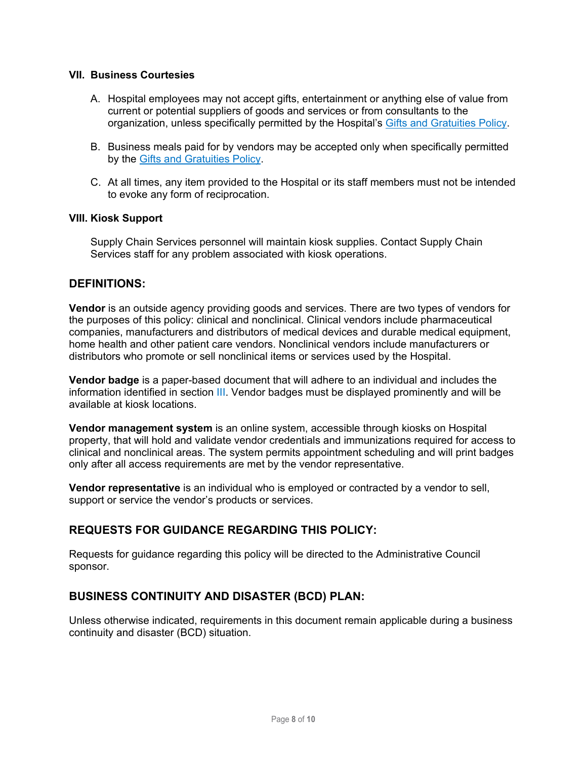#### **VII. Business Courtesies**

- A. Hospital employees may not accept gifts, entertainment or anything else of value from current or potential suppliers of goods and services or from consultants to the organization, unless specifically permitted by the Hospital's [Gifts and Gratuities Policy.](https://childrensmercy.ellucid.com/documents/view/111)
- B. Business meals paid for by vendors may be accepted only when specifically permitted by the [Gifts and Gratuities Policy](https://childrensmercy.ellucid.com/documents/view/111).
- C. At all times, any item provided to the Hospital or its staff members must not be intended to evoke any form of reciprocation.

#### **VIII. Kiosk Support**

Supply Chain Services personnel will maintain kiosk supplies. Contact Supply Chain Services staff for any problem associated with kiosk operations.

### <span id="page-7-1"></span>**DEFINITIONS:**

**Vendor** is an outside agency providing goods and services. There are two types of vendors for the purposes of this policy: clinical and nonclinical. Clinical vendors include pharmaceutical companies, manufacturers and distributors of medical devices and durable medical equipment, home health and other patient care vendors. Nonclinical vendors include manufacturers or distributors who promote or sell nonclinical items or services used by the Hospital.

<span id="page-7-3"></span>**Vendor badge** is a paper-based document that will adhere to an individual and includes the information identified in section [III](#page-4-0). Vendor badges must be displayed prominently and will be available at kiosk locations.

<span id="page-7-0"></span>**Vendor management system** is an online system, accessible through kiosks on Hospital property, that will hold and validate vendor credentials and immunizations required for access to clinical and nonclinical areas. The system permits appointment scheduling and will print badges only after all access requirements are met by the vendor representative.

<span id="page-7-2"></span>**Vendor representative** is an individual who is employed or contracted by a vendor to sell, support or service the vendor's products or services.

### **REQUESTS FOR GUIDANCE REGARDING THIS POLICY:**

Requests for guidance regarding this policy will be directed to the Administrative Council sponsor.

### **BUSINESS CONTINUITY AND DISASTER (BCD) PLAN:**

Unless otherwise indicated, requirements in this document remain applicable during a business continuity and disaster (BCD) situation.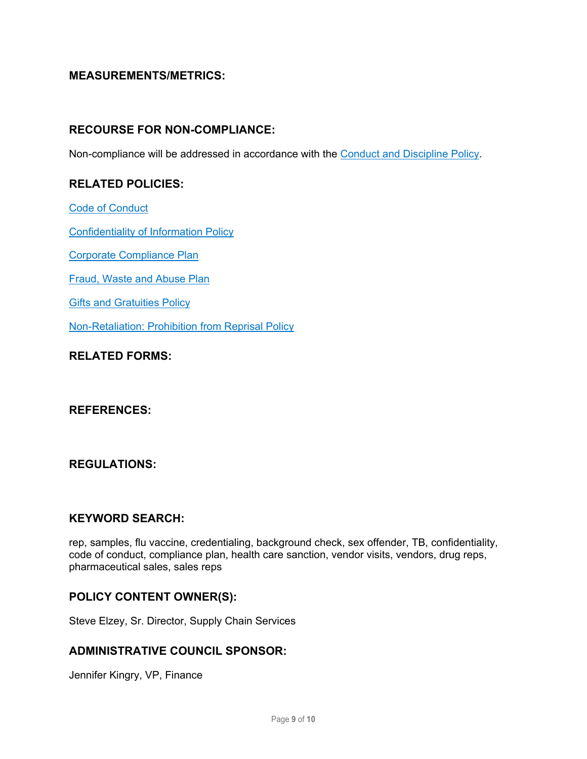## **MEASUREMENTS/METRICS:**

### **RECOURSE FOR NON-COMPLIANCE:**

Non-compliance will be addressed in accordance with the [Conduct and Discipline Policy.](https://childrensmercy.ellucid.com/documents/view/1712)

# **RELATED POLICIES:**

[Code of Conduct](https://childrensmercy.ellucid.com/documents/view/104)

[Confidentiality of Information Policy](https://childrensmercy.ellucid.com/documents/view/150)

[Corporate Compliance Plan](https://childrensmercy.ellucid.com/documents/view/105)

[Fraud, Waste and Abuse Plan](https://childrensmercy.ellucid.com/documents/view/110/)

[Gifts and Gratuities Policy](https://childrensmercy.ellucid.com/documents/view/111)

[Non-Retaliation: Prohibition from Reprisal Policy](https://childrensmercy.ellucid.com/documents/view/77)

# **RELATED FORMS:**

### **REFERENCES:**

### **REGULATIONS:**

### **KEYWORD SEARCH:**

rep, samples, flu vaccine, credentialing, background check, sex offender, TB, confidentiality, code of conduct, compliance plan, health care sanction, vendor visits, vendors, drug reps, pharmaceutical sales, sales reps

### **POLICY CONTENT OWNER(S):**

Steve Elzey, Sr. Director, Supply Chain Services

### **ADMINISTRATIVE COUNCIL SPONSOR:**

Jennifer Kingry, VP, Finance